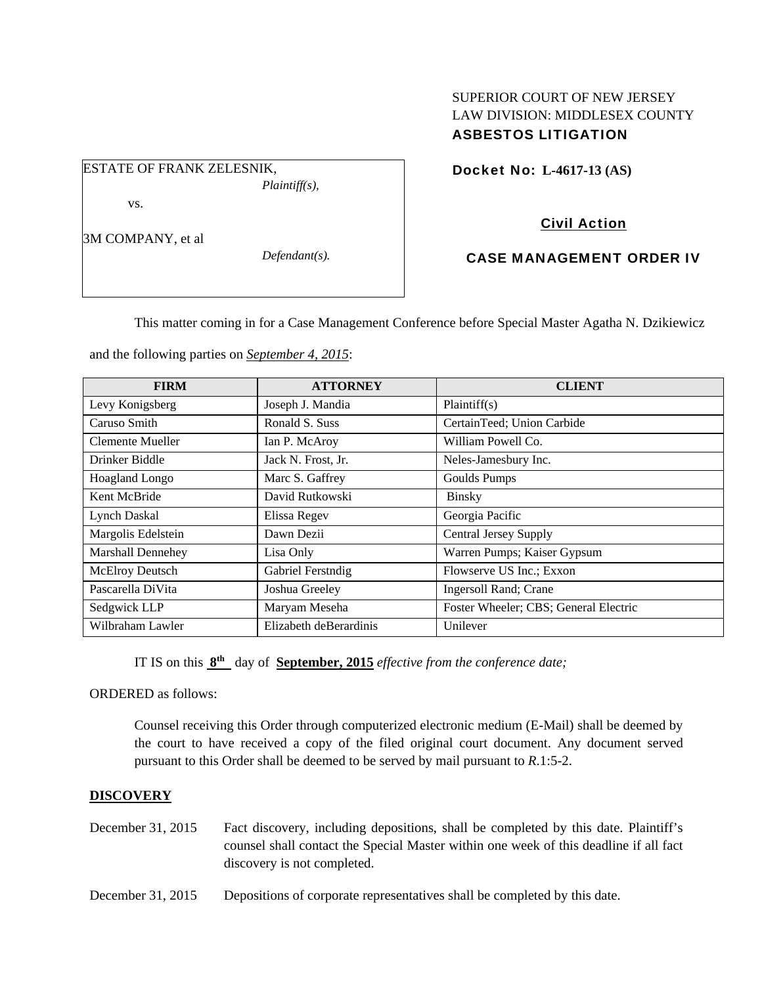## SUPERIOR COURT OF NEW JERSEY LAW DIVISION: MIDDLESEX COUNTY ASBESTOS LITIGATION

ESTATE OF FRANK ZELESNIK, *Plaintiff(s),* 

vs.

3M COMPANY, et al

*Defendant(s).* 

Docket No: **L-4617-13 (AS)** 

# Civil Action

# CASE MANAGEMENT ORDER IV

This matter coming in for a Case Management Conference before Special Master Agatha N. Dzikiewicz

and the following parties on *September 4, 2015*:

| <b>FIRM</b>              | <b>ATTORNEY</b>        | <b>CLIENT</b>                         |
|--------------------------|------------------------|---------------------------------------|
| Levy Konigsberg          | Joseph J. Mandia       | Plaintiff(s)                          |
| Caruso Smith             | Ronald S. Suss         | CertainTeed; Union Carbide            |
| Clemente Mueller         | Ian P. McAroy          | William Powell Co.                    |
| Drinker Biddle           | Jack N. Frost, Jr.     | Neles-Jamesbury Inc.                  |
| Hoagland Longo           | Marc S. Gaffrey        | Goulds Pumps                          |
| Kent McBride             | David Rutkowski        | <b>Binsky</b>                         |
| <b>Lynch Daskal</b>      | Elissa Regev           | Georgia Pacific                       |
| Margolis Edelstein       | Dawn Dezii             | <b>Central Jersey Supply</b>          |
| <b>Marshall Dennehey</b> | Lisa Only              | Warren Pumps; Kaiser Gypsum           |
| McElroy Deutsch          | Gabriel Ferstndig      | Flowserve US Inc.; Exxon              |
| Pascarella DiVita        | Joshua Greeley         | <b>Ingersoll Rand</b> ; Crane         |
| Sedgwick LLP             | Maryam Meseha          | Foster Wheeler; CBS; General Electric |
| Wilbraham Lawler         | Elizabeth deBerardinis | Unilever                              |

IT IS on this **8th** day of **September, 2015** *effective from the conference date;*

ORDERED as follows:

Counsel receiving this Order through computerized electronic medium (E-Mail) shall be deemed by the court to have received a copy of the filed original court document. Any document served pursuant to this Order shall be deemed to be served by mail pursuant to *R*.1:5-2.

## **DISCOVERY**

- December 31, 2015 Fact discovery, including depositions, shall be completed by this date. Plaintiff's counsel shall contact the Special Master within one week of this deadline if all fact discovery is not completed.
- December 31, 2015 Depositions of corporate representatives shall be completed by this date.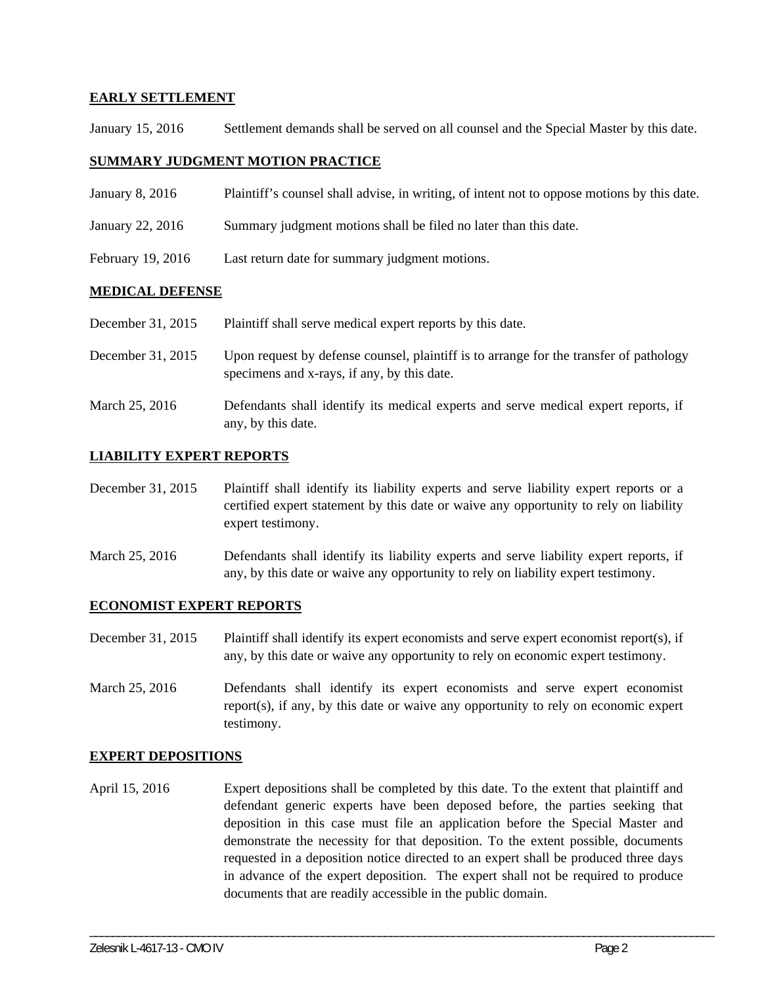## **EARLY SETTLEMENT**

January 15, 2016 Settlement demands shall be served on all counsel and the Special Master by this date.

### **SUMMARY JUDGMENT MOTION PRACTICE**

| Plaintiff's counsel shall advise, in writing, of intent not to oppose motions by this date. |
|---------------------------------------------------------------------------------------------|
| Summary judgment motions shall be filed no later than this date.                            |
| Last return date for summary judgment motions.                                              |
|                                                                                             |

#### **MEDICAL DEFENSE**

| December 31, 2015 | Plaintiff shall serve medical expert reports by this date. |  |
|-------------------|------------------------------------------------------------|--|
|-------------------|------------------------------------------------------------|--|

- December 31, 2015 Upon request by defense counsel, plaintiff is to arrange for the transfer of pathology specimens and x-rays, if any, by this date.
- March 25, 2016 Defendants shall identify its medical experts and serve medical expert reports, if any, by this date.

#### **LIABILITY EXPERT REPORTS**

- December 31, 2015 Plaintiff shall identify its liability experts and serve liability expert reports or a certified expert statement by this date or waive any opportunity to rely on liability expert testimony.
- March 25, 2016 Defendants shall identify its liability experts and serve liability expert reports, if any, by this date or waive any opportunity to rely on liability expert testimony.

#### **ECONOMIST EXPERT REPORTS**

- December 31, 2015 Plaintiff shall identify its expert economists and serve expert economist report(s), if any, by this date or waive any opportunity to rely on economic expert testimony.
- March 25, 2016 Defendants shall identify its expert economists and serve expert economist report(s), if any, by this date or waive any opportunity to rely on economic expert testimony.

#### **EXPERT DEPOSITIONS**

April 15, 2016 Expert depositions shall be completed by this date. To the extent that plaintiff and defendant generic experts have been deposed before, the parties seeking that deposition in this case must file an application before the Special Master and demonstrate the necessity for that deposition. To the extent possible, documents requested in a deposition notice directed to an expert shall be produced three days in advance of the expert deposition. The expert shall not be required to produce documents that are readily accessible in the public domain.

\_\_\_\_\_\_\_\_\_\_\_\_\_\_\_\_\_\_\_\_\_\_\_\_\_\_\_\_\_\_\_\_\_\_\_\_\_\_\_\_\_\_\_\_\_\_\_\_\_\_\_\_\_\_\_\_\_\_\_\_\_\_\_\_\_\_\_\_\_\_\_\_\_\_\_\_\_\_\_\_\_\_\_\_\_\_\_\_\_\_\_\_\_\_\_\_\_\_\_\_\_\_\_\_\_\_\_\_\_\_